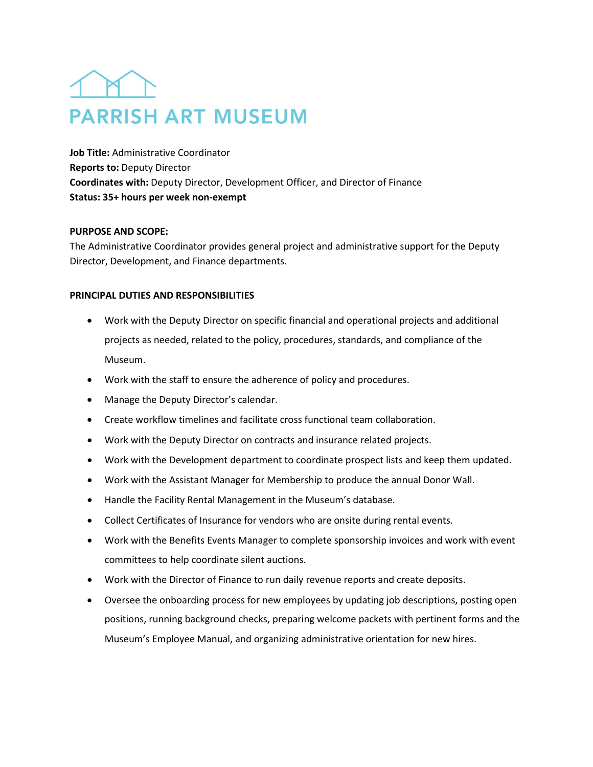## **PARRISH ART MUSEUM**

**Job Title:** Administrative Coordinator **Reports to:** Deputy Director **Coordinates with:** Deputy Director, Development Officer, and Director of Finance **Status: 35+ hours per week non-exempt**

## **PURPOSE AND SCOPE:**

The Administrative Coordinator provides general project and administrative support for the Deputy Director, Development, and Finance departments.

## **PRINCIPAL DUTIES AND RESPONSIBILITIES**

- Work with the Deputy Director on specific financial and operational projects and additional projects as needed, related to the policy, procedures, standards, and compliance of the Museum.
- Work with the staff to ensure the adherence of policy and procedures.
- Manage the Deputy Director's calendar.
- Create workflow timelines and facilitate cross functional team collaboration.
- Work with the Deputy Director on contracts and insurance related projects.
- Work with the Development department to coordinate prospect lists and keep them updated.
- Work with the Assistant Manager for Membership to produce the annual Donor Wall.
- Handle the Facility Rental Management in the Museum's database.
- Collect Certificates of Insurance for vendors who are onsite during rental events.
- Work with the Benefits Events Manager to complete sponsorship invoices and work with event committees to help coordinate silent auctions.
- Work with the Director of Finance to run daily revenue reports and create deposits.
- Oversee the onboarding process for new employees by updating job descriptions, posting open positions, running background checks, preparing welcome packets with pertinent forms and the Museum's Employee Manual, and organizing administrative orientation for new hires.